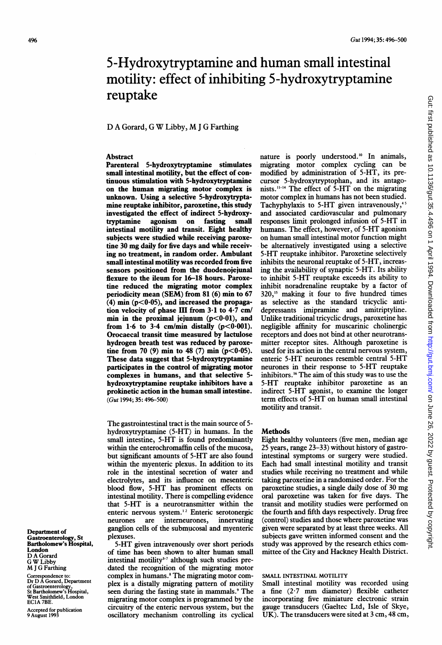# 5-Hydroxytryptamine and human small intestinal motility: effect of inhibiting 5-hydroxytryptamine reuptake

# D <sup>A</sup> Gorard, <sup>G</sup> W Libby, M <sup>J</sup> <sup>G</sup> Farthing

## **Abstract**

Parenteral 5-hydroxytryptamine stimulates small intestinal motility, but the effect of continuous stimulation with 5-hydroxytryptamine on the human migrating motor complex is unknown. Using a selective 5-hydroxytryptamine reuptake inhibitor, paroxetine, this study investigated the effect of indirect 5-hydroxytryptamine agonism on fasting small intestinal motility and transit. Eight healthy subjects were studied while receiving paroxetine 30 mg daily for five days and while receiving no treatment, in random order. Ambulant small intestinal motility was recorded from five sensors positioned from the duodenojejunal flexure to the ileum for 16-18 hours. Paroxetine reduced the migrating motor complex periodicity mean (SEM) from 81 (6) min to 67  $(4)$  min  $(p<0.05)$ , and increased the propagation velocity of phase III from 3-1 to 4-7 cm/ min in the proximal jejunum  $(p<0.01)$ , and from 1.6 to 3.4 cm/min distally  $(p<0.001)$ . Orocaecal transit time measured by lactulose hydrogen breath test was reduced by paroxetine from 70 (9) min to 48 (7) min ( $p < 0.05$ ). These data suggest that 5-hydroxytryptamine participates in the control of migrating motor complexes in humans, and that selective 5 hydroxytryptamine reuptake inhibitors have a prokinetic action in the human small intestine. (Gut 1994; 35: 496-500)

The gastrointestinal tract is the main source of 5 hydroxytryptamine (5-HT) in humans. In the small intestine, 5-HT is found predominantly within the enterochromaffin cells of the mucosa, but significant amounts of 5-HT are also found within the myenteric plexus. In addition to its role in the intestinal secretion of water and electrolytes, and its influence on mesenteric blood flow, 5-HT has prominent effects on intestinal motility. There is compelling evidence that 5-HT is a neurotransmitter within the enteric nervous system.'2 Enteric serotonergic neurones are interneurones, innervating ganglion cells of the submucosal and myenteric plexuses.

5-HT given intravenously over short periods of time has been shown to alter human small intestinal motility<sup>3-7</sup> although such studies predated the recognition of the migrating motor complex in humans.<sup>8</sup> The migrating motor complex is a distally migrating pattern of motility seen during the fasting state in mammals.<sup>9</sup> The migrating motor complex is programmed by the circuitry of the enteric nervous system, but the oscillatory mechanism controlling its cyclical

nature is poorly understood.'0 In animals, migrating motor complex cycling can be modified by administration of 5-HT, its precursor 5-hydroxytryptophan, and its antagonists.<sup>11-14</sup> The effect of  $5-HT$  on the migrating motor complex in humans has not been studied. Tachyphylaxis to 5-HT given intravenously,<sup>45</sup> and associated cardiovascular and pulmonary responses limit prolonged infusion of 5-HT in humans. The effect, however, of 5-HT agonism on human small intestinal motor function might be alternatively investigated using a selective 5-HT reuptake inhibitor. Paroxetine selectively inhibits the neuronal reuptake of 5-HT, increasing the availability of synaptic 5-HT. Its ability to inhibit 5-HT reuptake exceeds its ability to inhibit noradrenaline reuptake by a factor of 320," making it four to five hundred times as selective as the standard tricycic antidepressants imipramine and amitriptyline. Unlike traditional tricyclic drugs, paroxetine has negligible affinity for muscarinic cholinergic receptors and does not bind at other neurotransmitter receptor sites. Although paroxetine is used for its action in the central nervous system, enteric 5-HT neurones resemble central 5-HT neurones in their response to 5-HT reuptake inhibitors.'6 The aim of this study was to use the 5-HT reuptake inhibitor paroxetine as an indirect 5-HT agonist, to examine the longer term effects of 5-HT on human small intestinal motility and transit.

## **Methods**

Eight healthy volunteers (five men, median age 25 years, range 23-33) without history of gastrointestinal symptoms or surgery were studied. Each had small intestinal motility and transit studies while receiving no treatment and while taking paroxetine in a randomised order. For the paroxetine studies, <sup>a</sup> single daily dose of 30 mg oral paroxetine was taken for five days. The transit and motility studies were performed on the fourth and fifth days respectively. Drug free (control) studies and those where paroxetine was given were separated by at least three weeks. All subjects gave written informed consent and the study was approved by the research ethics committee of the City and Hackney Health District.

# SMALL INTESTINAL MOTILITY

Small intestinal motility was recorded using a fine  $(2.7 \text{ mm}$  diameter) flexible catheter incorporating five miniature electronic strain gauge transducers (Gaeltec Ltd, Isle of Skye, UK). The transducers were sited at 3 cm, 48 cm,

Department of Gastroenterology, St Bartholomew's Hospital, London D A Gorard <sup>G</sup> WLibby M <sup>J</sup> G Farthing

Correspondence to: Dr D A Gorard, Department of Gastroenterology, St Bartholomew's Hospital, West Smithfield, London EC1A 7BE.

Accepted for publication 9 August 1993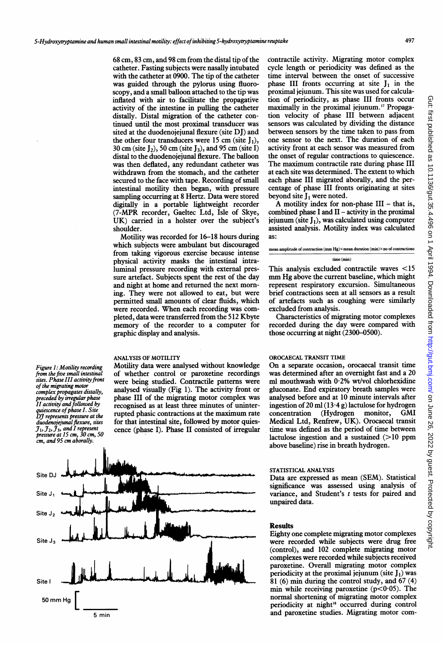68 cm, 83 cm, and 98 cm from the distal tip of the catheter. Fasting subjects were nasally intubated with the catheter at 0900. The tip of the catheter was guided through the pylorus using fluoroscopy, and a small balloon attached to the tip was inflated with air to facilitate the propagative activity of the intestine in pulling the catheter distally. Distal migration of the catheter continued until the most proximal transducer was sited at the duodenojejunal flexure (site DJ) and the other four transducers were 15 cm (site  $I_1$ ), 30 cm (site  $J_2$ ), 50 cm (site  $J_3$ ), and 95 cm (site I) distal to the duodenojejunal flexure. The balloon was then deflated, any redundant catheter was withdrawn from the stomach, and the catheter secured to the face with tape. Recording of small intestinal motility then began, with pressure sampling occurring at 8 Hertz. Data were stored digitally in a portable lightweight recorder (7-MPR recorder, Gaeltec Ltd, Isle of Skye, UK) carried in <sup>a</sup> holster over the subject's shoulder.

Motility was recorded for 16-18 hours during which subjects were ambulant but discouraged from taking vigorous exercise because intense physical activity masks the intestinal intraluminal pressure recording with external pressure artefact. Subjects spent the rest of the day and night at home and returned the next morning. They were not allowed to eat, but were permitted small amounts of clear fluids, which were recorded. When each recording was completed, data were transferred from the 512 Kbyte memory of the recorder to a computer for graphic display and analysis.

## ANALYSIS OF MOTILITY

Figure 1: Motility recording from the five small intestinal sites. Phase III activity front of the migrating motor

complex propagates distally, preceded by irregular phase II activity andfollowed by

quiescence of phase 1. Site<br>DJ represents pressure at the<br>duodenojejunal flexure, sites  $j_1$ ,  $j_2$ ,  $j_3$ , and I represent<br>pressure at 15 cm, 30 cm, 50 cm, and 95 cm aborally.

Motility data were analysed without knowledge of whether control or paroxetine recordings were being studied. Contractile patterns were analysed visually (Fig 1). The activity front or phase III of the migrating motor complex was recognised as at least three minutes of uninterrupted phasic contractions at the maximum rate for that intestinal site, followed by motor quiescence (phase I). Phase II consisted of irregular



contractile activity. Migrating motor complex cycle length or periodicity was defined as the time interval between the onset of successive phase III fronts occurring at site  $J_1$  in the proximal jejunum. This site was used for calculation of periodicity, as phase III fronts occur maximally in the proximal jejunum.<sup>17</sup> Propagation velocity of phase III between adjacent sensors was calculated by dividing the distance between sensors by the time taken to pass from one sensor to the next. The duration of each activity front at each sensor was measured from the onset of regular contractions to quiescence. The maximum contractile rate during phase III at each site was determined. The extent to which each phase III migrated aborally, and the percentage of phase III fronts originating at sites beyond site  $I_1$  were noted.

A motility index for non-phase  $III - that$  is, combined phase I and  $II$  - activity in the proximal jejunum (site  $J_1$ ), was calculated using computer assisted analysis. Motility index was calculated as:

### mean amplitude of contraction (mm Hg) $\times$ mean duration (min) $\times$ no of contraction time (min)

This analysis excluded contractile waves <15 mm Hg above the current baseline, which might represent respiratory excursion. Simultaneous brief contractions seen at all sensors as a result of artefacts such as coughing were similarly excluded from analysis.

Characteristics of migrating motor complexes recorded during the day were compared with those occurring at night (2300-0500).

## OROCAECAL TRANSIT TIME

On <sup>a</sup> separate occasion, orocaecal transit time was determined after an overnight fast and a 20 ml mouthwash with 0-2% wt/vol chlorhexidine gluconate. End expiratory breath samples were analysed before and at 10 minute intervals after ingestion of 20 ml  $(13.4 g)$  lactulose for hydrogen<br>concentration (Hydrogen monitor, GMI concentration (Hydrogen monitor, GMI Medical Ltd, Renfrew, UK). Orocaecal transit time was defined as the period of time between lactulose ingestion and a sustained  $(>10$  ppm above baseline) rise in breath hydrogen.

# STATISTICAL ANALYSIS

Data are expressed as mean (SEM). Statistical significance was assessed using analysis of variance, and Student's  $t$  tests for paired and unpaired data.

#### Results

Eighty one complete migrating motor complexes were recorded while subjects were drug free (control), and 102 complete migrating motor complexes were recorded while subjects received paroxetine. Overall migrating motor complex periodicity at the proximal jejunum (site  $J_1$ ) was  $81$  (6) min during the control study, and 67 (4) min while receiving paroxetine  $(p<0.05)$ . The normal shortening of migrating motor complex periodicity at night<sup>18</sup> occurred during control and paroxetine studies. Migrating motor com-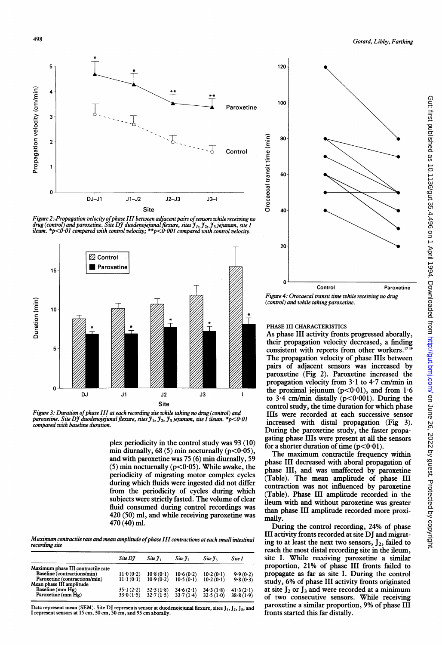

Figure 2: Propagation velocity of phase III between adjacent pairs of sensors while receiving no drug (control) and paroxetine. Site DJ duodenojejunal flexure, sites J <sub>1</sub>, J <sub>2</sub>, J 3 jejunum, site I<br>ileum. \*p<0·01 compared with control velocity; \*\*p<0·001 compared with control velocity.



Figure 3: Duration of phase III at each recording site while taking no drug (control) and paroxetine. Site DJ duodenojejunal flexure, sites  $\mathfrak{I}_1$ ,  $\mathfrak{I}_2$ ,  $\mathfrak{I}_3$  jejunum, site I ileum. \*p<0.01 compared with baseline duration.

plex periodicity in the control study was 93 (10) min diurnally, 68 (5) min nocturnally ( $p < 0.05$ ), and with paroxetine was 75 (6) min diurnally, 59  $(5)$  min nocturnally ( $p < 0.05$ ). While awake, the periodicity of migrating motor complex cycles during which fluids were ingested did not differ from the periodicity of cycles during which subjects were strictly fasted. The volume of clear fluid consumed during control recordings was 420 (50) ml, and while receiving paroxetine was 470 (40) ml.

Maximum contractile rate and mean amplitude ofphase III contractions at each small intestinal recording site

|                                    | Site DI                  | Site 7.   | Site 7,   | Site 7 <sub>3</sub> | Site I    |
|------------------------------------|--------------------------|-----------|-----------|---------------------|-----------|
| Maximum phase III contractile rate |                          |           |           |                     |           |
| Baseline (contractions/min)        | 11.0(0.2)                | 10.8(0.1) | 10.6(0.2) | 10.2(0.1)           | 9.9(0.2)  |
| Paroxetine (contractions/min)      | $11 \cdot 1 (0 \cdot 1)$ | 10.9(0.2) | 10.5(0.1) | 10.2(0.1)           | 9.8(0.3)  |
| Mean phase III amplitude           |                          |           |           |                     |           |
| Baseline (mm Hg)                   | $35 \cdot 1(2 \cdot 2)$  | 32.3(1.8) | 34.6(2.1) | 34.3(1.8)           | 41.3(2.1) |
| Paroxetine (mm Hg)                 | 33.0(1.5)                | 32.7(1.5) | 33.7(1.4) | 32.5(1.0)           | 38.8(1.9) |
|                                    |                          |           |           |                     |           |

Data represent mean (SEM). Site DJ represents sensor at duodenojejunal flexure, sites J1, J<sub>2</sub>, J<sub>3</sub>, and<br>I represent sensors at 15 cm, 30 cm, 50 cm, and 95 cm aborally.



(control) and while taking paroxetine.

## PHASE III CHARACTERISTICS

As phase III activity fronts progressed aborally, their propagation velocity decreased, a finding consistent with reports from other workers.<sup>1719</sup> The propagation velocity of phase IIls between pairs of adjacent sensors was increased by paroxetine (Fig 2). Paroxetine increased the propagation velocity from  $3 \cdot 1$  to  $4 \cdot 7$  cm/min in the proximal jejunum  $(p<0.01)$ , and from 1.6 to  $3.4$  cm/min distally ( $p < 0.001$ ). During the control study, the time duration for which phase IIIs were recorded at each successive sensor increased with distal propagation (Fig 3). During the paroxetine study, the faster propagating phase IIIs were present at all the sensors for a shorter duration of time  $(p<0.01)$ .

The maximum contractile frequency within phase III decreased with aboral propagation of phase III, and was unaffected by paroxetine (Table). The mean amplitude of phase III contraction was not influenced by paroxetine (Table). Phase III amplitude recorded in the ileum with and without paroxetine was greater than phase III amplitude recorded more proximally.

During the control recording, 24% of phase III activity fronts recorded at site DJ and migrating to at least the next two sensors,  $J_2$ , failed to reach the most distal recording site in the ileum, site I. While receiving paroxetine a similar proportion, 21% of phase III fronts failed to propagate as far as site I. During the control study, 6% of phase III activity fronts originated at site  $J_2$  or  $J_3$  and were recorded at a minimum of two consecutive sensors. While receiving paroxetine <sup>a</sup> similar proportion, 9% of phase III fronts started this far distally.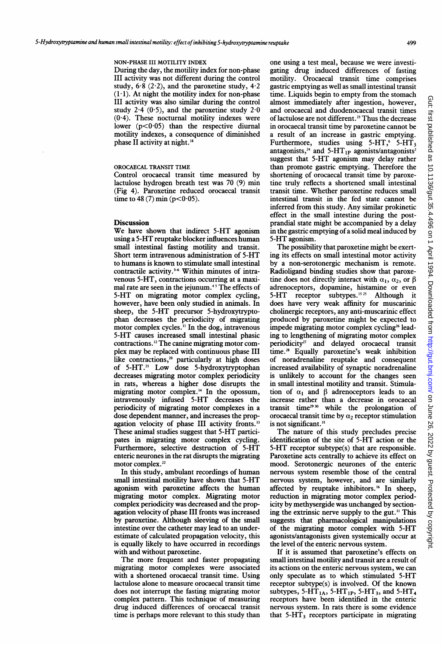### NON-PHASE III MOTILITY INDEX

During the day, the motility index for non-phase III activity was not different during the control study,  $6.8$  (2.2), and the paroxetine study,  $4.2$  $(1-1)$ . At night the motility index for non-phase III activity was also similar during the control study  $2.4(0.5)$ , and the paroxetine study  $2.0$  $(0.4)$ . These nocturnal motility indexes were lower  $(p<0.05)$  than the respective diurnal motility indexes, a consequence of diminished phase II activity at night.<sup>1</sup>

## OROCAECAL TRANSIT TIME

Control orocaecal transit time measured by lactulose hydrogen breath test was 70 (9) min (Fig 4). Paroxetine reduced orocaecal transit time to  $48(7)$  min (p<0.05).

#### **Discussion**

We have shown that indirect 5-HT agonism using a 5-HT reuptake blocker influences human small intestinal fasting motility and transit. Short term intravenous administration of 5-HT to humans is known to stimulate small intestinal contractile activity.<sup>3-6</sup> Within minutes of intravenous 5-HT, contractions occurring at a maximal rate are seen in the jejunum.<sup>45</sup> The effects of 5-HT on migrating motor complex cycling, however, have been only studied in animals. In sheep, the 5-HT precursor 5-hydroxytryptophan decreases the periodicity of migrating motor complex cycles." In the dog, intravenous 5-HT causes increased small intestinal phasic contractions.'2 The canine migrating motor complex may be replaced with continuous phase III like contractions,<sup>20</sup> particularly at high doses of 5-HT.2' Low dose 5-hydroxytryptophan decreases migrating motor complex periodicity in rats, whereas a higher dose disrupts the migrating motor complex.'4 In the opossum, intravenously infused 5-HT decreases the periodicity of migrating motor complexes in a dose dependent manner, and increases the propagation velocity of phase III activity fronts.'3 These animal studies suggest that 5-HT participates in migrating motor complex cycling. Furthermore, selective destruction of 5-HT enteric neurones in the rat disrupts the migrating motor complex.<sup>22</sup>

In this study, ambulant recordings of human small intestinal motility have shown that 5-HT agonism with paroxetine affects the human migrating motor complex. Migrating motor complex periodicity was decreased and the propagation velocity of phase III fronts was increased by paroxetine. Although sleeving of the small intestine over the catheter may lead to an underestimate of calculated propagation velocity, this is equally likely to have occurred in recordings with and without paroxetine.

The more frequent and faster propagating migrating motor complexes were associated with a shortened orocaecal transit time. Using lactulose alone to measure orocaecal transit time does not interrupt the fasting migrating motor complex pattern. This technique of measuring drug induced differences of orocaecal transit time is perhaps more relevant to this study than one using a test meal, because we were investigating drug induced differences of fasting motility. Orocaecal transit time comprises gastric emptying as well as small intestinal transit time. Liquids begin to empty from the stomach almost immediately after ingestion, however, and orocaecal and duodenocaecal transit times of lactulose are not different.<sup>23</sup> Thus the decrease in orocaecal transit time by paroxetine cannot be a result of an increase in gastric emptying. Furthermore, studies using  $5-HT$ ,  $5-HT_3$ antagonists,<sup>24</sup> and 5-HT<sub>1P</sub> agonists/antagonists<sup>2</sup> suggest that 5-HT agonism may delay rather than promote gastric emptying. Therefore the shortening of orocaecal transit time by paroxetine truly reflects a shortened small intestinal transit time. Whether paroxetine reduces small intestinal transit in the fed state cannot be inferred from this study. Any similar prokinetic effect in the small intestine during the postprandial state might be accompanied by a delay in the gastric emptying of a solid meal induced by 5-HT agonism.

The possibility that paroxetine might be exerting its effects on small intestinal motor activity by a non-serotonergic mechanism is remote. Radioligand binding studies show that paroxetine does not directly interact with  $\alpha_1$ ,  $\alpha_2$ , or  $\beta$ adrenoceptors, dopamine, histamine or even 5-HT receptor subtypes.<sup>1525</sup> Although it does have very weak affinity for muscarinic cholinergic receptors, any anti-muscarinic effect produced by paroxetine might be expected to impede migrating motor complex cycling<sup>26</sup> leading to lengthening of migrating motor complex periodicity<sup>27</sup> and delayed orocaecal transit time.28 Equally paroxetine's weak inhibition of noradrenaline reuptake and consequent increased availability of synaptic noradrenaline is unlikely to account for the changes seen in small intestinal motility and transit. Stimulation of  $\alpha_1$  and  $\beta$  adrenoceptors leads to an increase rather than a decrease in orocaecal transit time<sup>29 30</sup> while the prolongation of orocaecal transit time by  $\alpha_2$  receptor stimulation is not significant.<sup>31</sup>

The nature of this study precludes precise identification of the site of 5-HT action or the 5-HT receptor subtype(s) that are responsible. Paroxetine acts centrally to achieve its effect on mood. Serotonergic neurones of the enteric nervous system resemble those of the central nervous system, however, and are similarly affected by reuptake inhibitors.<sup>16</sup> In sheep, reduction in migrating motor complex periodicity by methysergide was unchanged by sectioning the extrinsic nerve supply to the gut." This suggests that pharmacological manipulations of the migrating motor complex with 5-HT agonists/antagonists given systemically occur at the level of the enteric nervous system.

If it is assumed that paroxetine's effects on small intestinal motility and transit are a result of its actions on the enteric nervous system, we can only speculate as to which stimulated 5-HT receptor subtype(s) is involved. Of the known subtypes, 5-HT<sub>1A</sub>, 5-HT<sub>1P</sub>, 5-HT<sub>3</sub>, and 5-HT<sub>4</sub> receptors have been identified in the enteric nervous system. In rats there is some evidence that  $5 - HT_3$  receptors participate in migrating